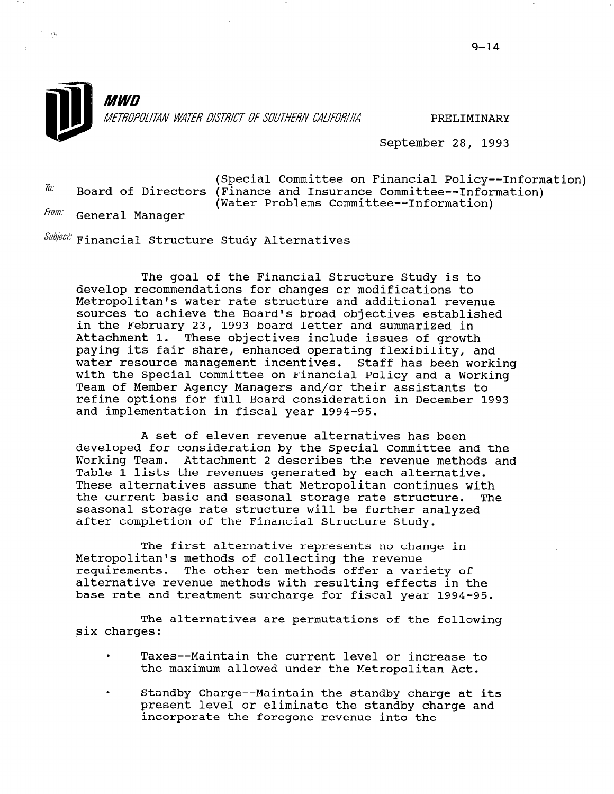

September 28, 1993

(Special Committee on Financial Policy--Information)<br>(Einance and Ingurance Committee Information) Board of Directors (Finance and Insurance Committee--Information) (Water Problems Committee--Information) General Manager

 $\mathcal{M}_\mathrm{c}$ 

 $\textit{Subject:}$  Financial Structure Study Alternatives

The goal of the Financial Structure Study is to develop recommendations for changes or modifications to Metropolitan's water rate structure and additional revenue sources to achieve the Board's broad objectives established in the February 23, 1993 board letter and summarized in Attachment 1. These objectives include issues of growth paying its fair share, enhanced operating flexibility, and water resource management incentives. Staff has been working with the Special Committee on Financial Policy and a Working Team of Member Agency Managers and/or their assistants to refine options for full Board consideration in December 1993 and implementation in fiscal year 1994-95.

A set of eleven revenue alternatives has been developed for consideration by the Special Committee and the Working Team. Attachment 2 describes the revenue methods and Working Team. Attachment 2 describes the revenue methods and<br>Table 1 lists the revenues generated by each alternative. These alternatives assume that Metropolitan continues with the current basic and seasonal storage rate structure. The ene carrent basic and seasonal storage rate structure. after completion of the Financial Structure Study.

The first alternative represents no change in Metropolitan's methods of collecting the revenue recroporitan's methods of correcting the revenue alternative revenue methods with resulting effects in the alternative revenue methods with resulting effects in the base rate and treatment surcharge for fiscal year 1994-95.

The alternatives are permutations of the following six charges:

- . Taxes --Maintain the current level or increase to raxes--Maintain the current level or increase<br>the metropolitan Action Action Action
- . Standby Charge-- Maintain the standby charge at its standby charge--maintain the standby charge at it present level or eliminate the standby charge and incorporate the foregone revenue into the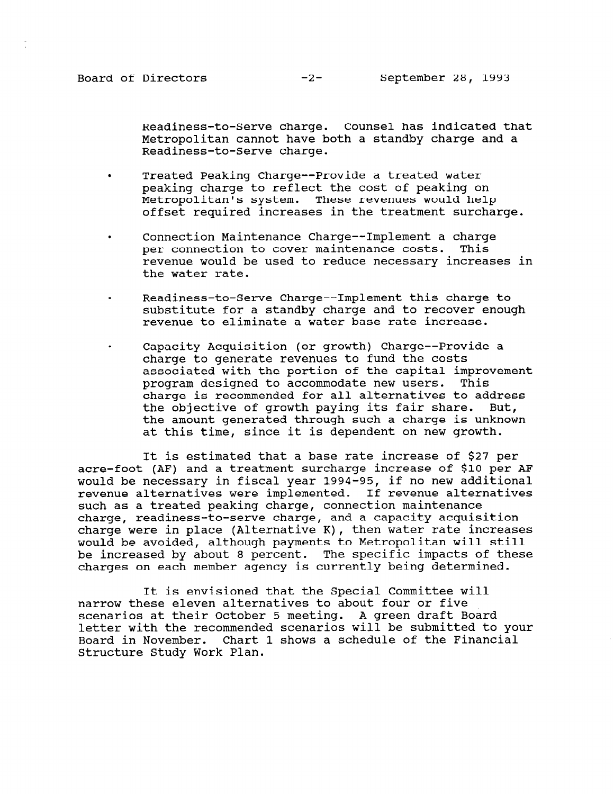Readiness-to-Serve charge. Counsel has indicated that Metropolitan cannot have both a standby charge and a Readiness-to-Serve charge.

- . Treated Peaking Charge--Provide a treated water peaking charge to reflect the cost of peaking on Metropolitan's system. These revenues would help offset required increases in the treatment surcharge.
- . Connection Maintenance Charge--Implement a charge per connection to cover maintenance costs. This revenue would be used to reduce necessary increases in the water rate.
- . Readiness-to-Serve Charge-- Implement this charge to substitute for a standby charge and to recover enough revenue to eliminate a water base rate increase.
- . Capacity Acquisition (or growth) Charge--Provide a charge to generate revenues to fund the costs associated with the portion of the capital improvement program designed to accommodate new users. This charge is recommended for all alternatives to address the objective of growth paying its fair share. But, the amount generated through such a charge is unknown at this time, since it is dependent on new growth.

It is estimated that a base rate increase of \$27 per acre-foot (AF) and a treatment surcharge increase of \$10 per AF would be necessary in fiscal year 1994-95, if no new additional revenue alternatives were implemented. If revenue alternatives such as a treated peaking charge, connection maintenance charge, readiness-to-serve charge, and a capacity acquisition charge were in place (Alternative K), then water rate increases would be avoided, although payments to Metropolitan will still be increased by about 8 percent. The specific impacts of these charges on each member agency is currently being determined.

It is envisioned that the Special Committee will narrow these eleven alternatives to about four or five scenarios at their October 5 meeting. A green draft Board letter with the recommended scenarios will be submitted to your Board in November. Chart 1 shows a schedule of the Financial BOATG IN NOVEMBER, CHAIL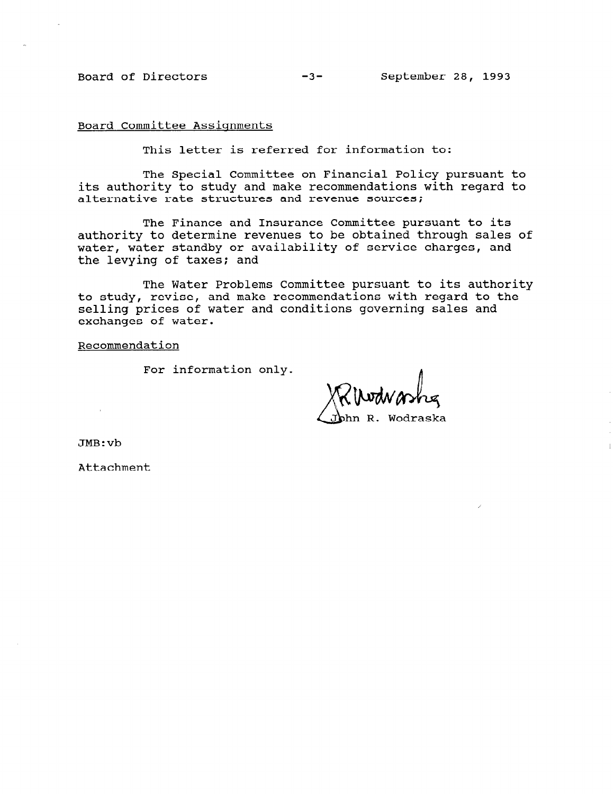Board Committee Assignments

This letter is referred for information to:

The Special Committee on Financial Policy pursuant to its authority to study and make recommendations with regard to alternative rate structures and revenue sources;

The Finance and Insurance Committee pursuant to its authority to determine revenues to be obtained through sales of water, water standby or availability of service charges, and the levying of taxes; and

The Water Problems Committee pursuant to its authority to study, revise, and make recommendations with regard to the selling prices of water and conditions governing sales and exchanges of water.

Recommendation

For information only.

ın R. Wodraska

JMB:vb

Attachment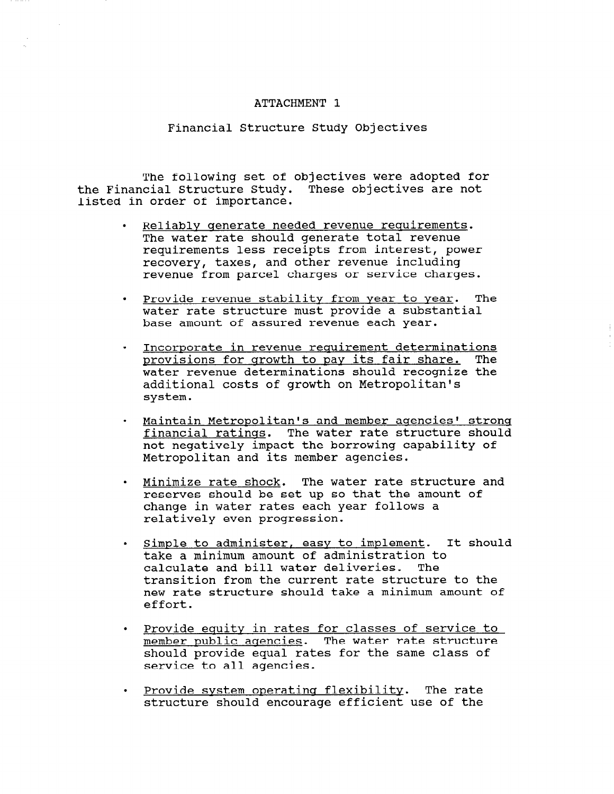### ATTACHMENT 1

#### Financial Structure Study Objectives

The following set of objectives were adopted for the Financial Structure Study. These objectives are not listed in order of importance.

- . Reliably qenerate needed revenue requirements. The water rate should generate total revenue requirements less receipts from interest, power recovery, taxes, and other revenue including revenue from parcel charges or service charges.
- . Provide revenue stability from year to Year. The water rate structure must provide a substantial base amount of assured revenue each year.
- . Incorporate in revenue requirement determinations provisions for qrowth to pay its fair share. The water revenue determinations should recognize the additional costs of growth on Metropolitan's system.
- Maintain Metropolitan's and member agencies' strong financial ratings. The water rate structure should not negatively impact the borrowing capability of Metropolitan and its member agencies.
- . Minimize rate shock. The water rate structure and reserves should be set up so that the amount of change in water rates each year follows a relatively even progression.
- . Simple to administer, easy to implement. It should take a minimum amount of administration to calculate and bill water deliveries. transition from the current rate structure to the new rate structure should take a minimum amount of effort.
- . Provide equity in rates for classes of service to Provide equity in rates for classes of service member public agencies. The water rate structure should provide equal rates for the same class of service to all agencies.
- . Provide system operatincr flexibility. The rate <u>Provide system operating flexibility</u>. The rate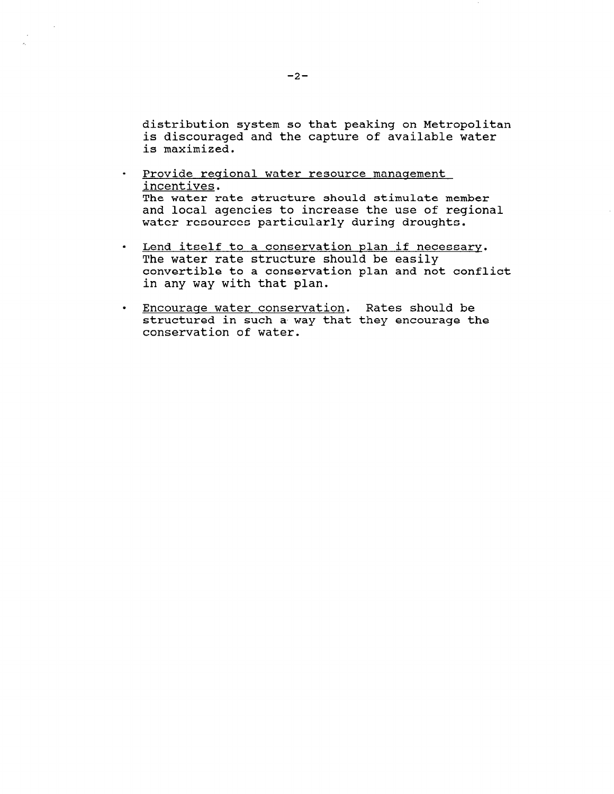distribution system so that peaking on Metropolitan is discouraged and the capture of available water is maximized.

- . Provide regional water resource management incentives. The water rate structure should stimulate member and local agencies to increase the use of regional water resources particularly during droughts.
- . Lend itself to a conservation plan if necessary. The water rate structure should be easily convertible to a conservation plan and not conflict in any way with that plan.
- . Encourage water conservation. Rates should be structured in such a way that they encourage the conservation of water.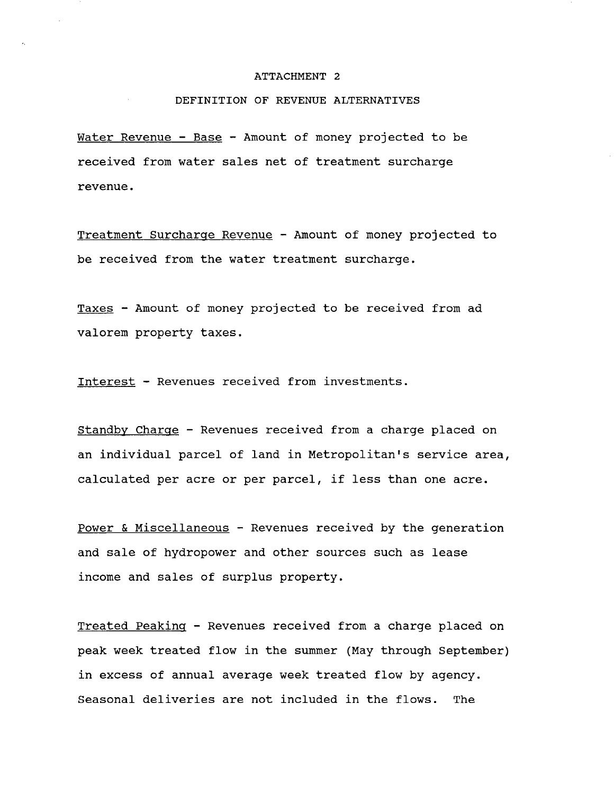#### ATTACHMENT 2

### DEFINITION OF REVENUE ALTERNATIVES

Water Revenue - Base - Amount of money projected to be received from water sales net of treatment surcharge revenue.

Treatment Surcharqe Revenue - Amount of money projected to be received from the water treatment surcharge.

Taxes - Amount of money projected to be received from ad valorem property taxes.

Interest - Revenues received from investments.

Standby Charqe - Revenues received from a charge placed on an individual parcel of land in Metropolitan's service area, calculated per acre or per parcel, if less than one acre.

Power & Miscellaneous - Revenues received by the generation and sale of hydropower and other sources such as lease income and sales of surplus property.

Treated Peakinq - Revenues received from a charge placed on peak week treated flow in the summer (May through September) in excess of annual average week treated flow by agency. Seasonal deliveries are not included in the flows. The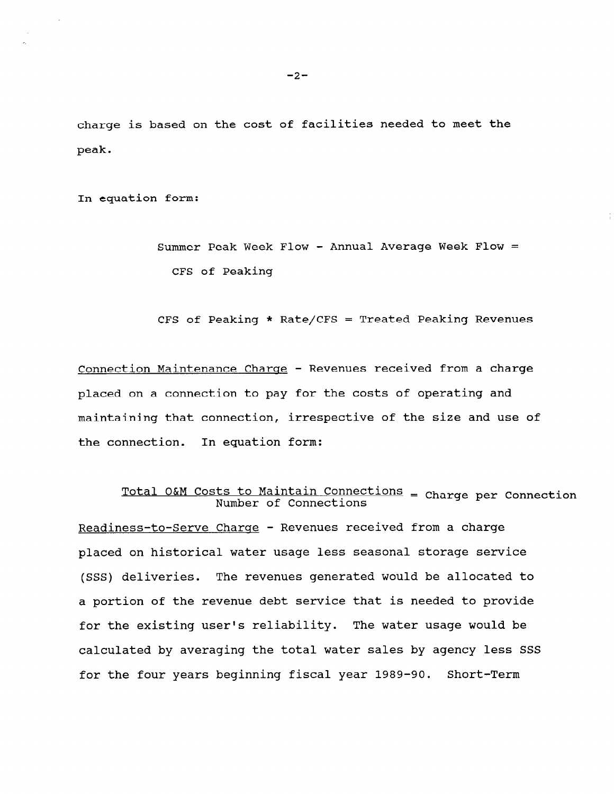charge is based on the cost of facilities needed to meet the peak.

In equation form:

Summer Peak Week Flow - Annual Average Week Flow = CFS of Peaking

CFS of Peaking \* Rate/CFS = Treated Peaking Revenues

Connection Maintenance Charqe - Revenues received from a charge placed on a connection to pay for the costs of operating and maintaining that connection, irrespective of the size and use of the connection. In equation form:

# Total O&M Costs to Maintain Connections = Charge per Connections

Readiness-to-Serve Charge - Revenues received from a charge placed on historical water usage less seasonal storage service (SSS) deliveries. The revenues generated would be allocated to a portion of the revenue debt service that is needed to provide for the existing user's reliability. The water usage would be calculated by averaging the total water sales by agency less SSS for the four years beginning fiscal year 1989-90. Short-Term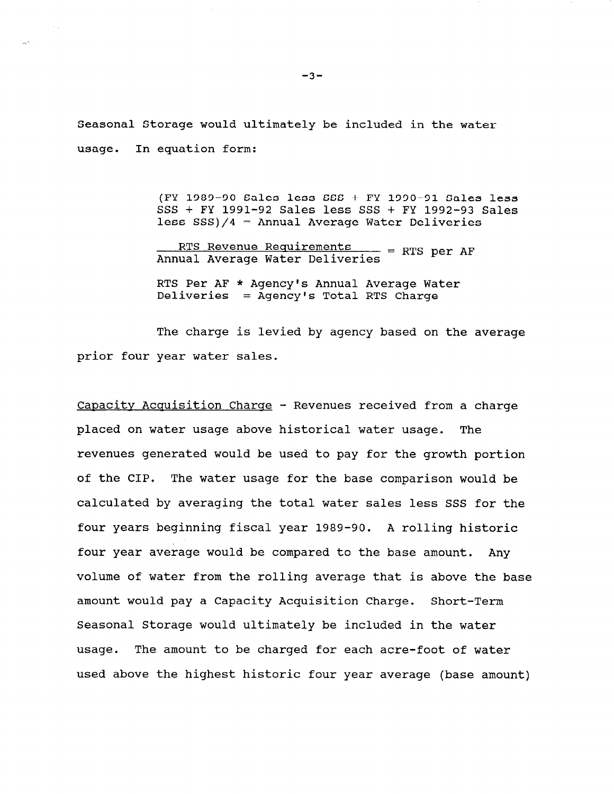Seasonal Storage would ultimately be included in the water usage. In equation form:

> (FY 1989-90 Sales less SSS + FY 1990-91 Sales less SSS + FY 1991-92 Sales less SSS + FY 1992-93 Sales less  $SSS$ )/4 = Annual Average Water Deliveries

RTS Revenue Requirements<br>Annual Average Water Deliveries = RTS per AF

RTS Per AF \* Agency's Annual Average Water Deliveries = Agency's Total RTS Charge

The charge is levied by agency based on the average prior four year water sales.

Capacity Acquisition Charge - Revenues received from a charge placed on water usage above historical water usage. The revenues generated would be used to pay for the growth portion of the CIP. The water usage for the base comparison would be calculated by averaging the total water sales less SSS for the four years beginning fiscal year 1989-90. A rolling historic four year average would be compared to the base amount. Any volume of water from the rolling average that is above the base amount would pay a Capacity Acquisition Charge. Short-Term Seasonal Storage would ultimately be included in the water usage. The amount to be charged for each acre-foot of water used above the highest historic four year average (base amount)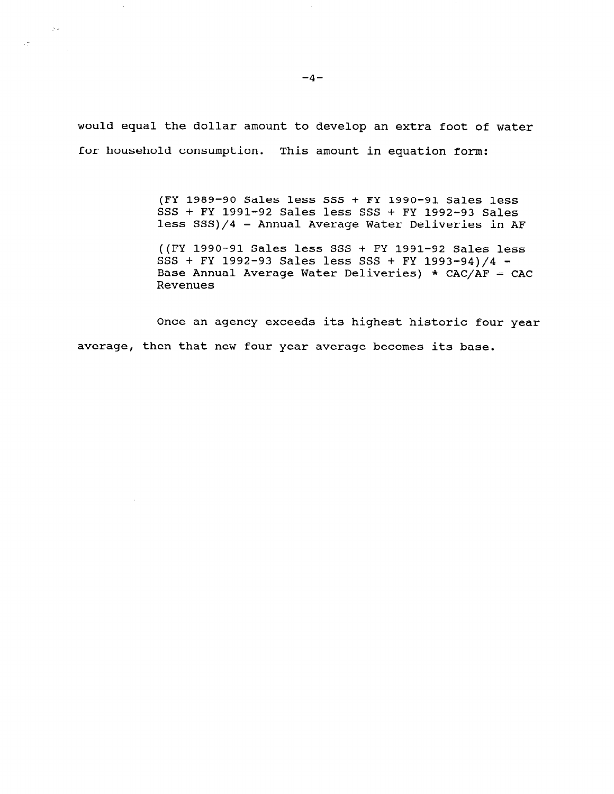would equal the dollar amount to develop an extra foot of water for household consumption. This amount in equation form:

> (FY 1989-90 Sales less SSS + FY 1990-91 Sales less SSS + FY 1991-92 Sales less SSS + FY 1992-93 Sales less SSS)/4 = Annual Average Water Deliveries in AF

((FY 1990-91 Sales less SSS + FY 1991-92 Sales less SSS + FY 1992-93 Sales less SSS + FY 1993-94)/4 - Base Annual Average Water Deliveries) \*  $CAC/AF = CAC$ Revenues

Once an agency exceeds its highest historic four year average, then that new four year average becomes its base.

 $\sim$ 

 $\sim$ 

 $\sim 10^{11}$ 

 $\mathcal{L}_{\mathcal{L}}^{\text{max}}$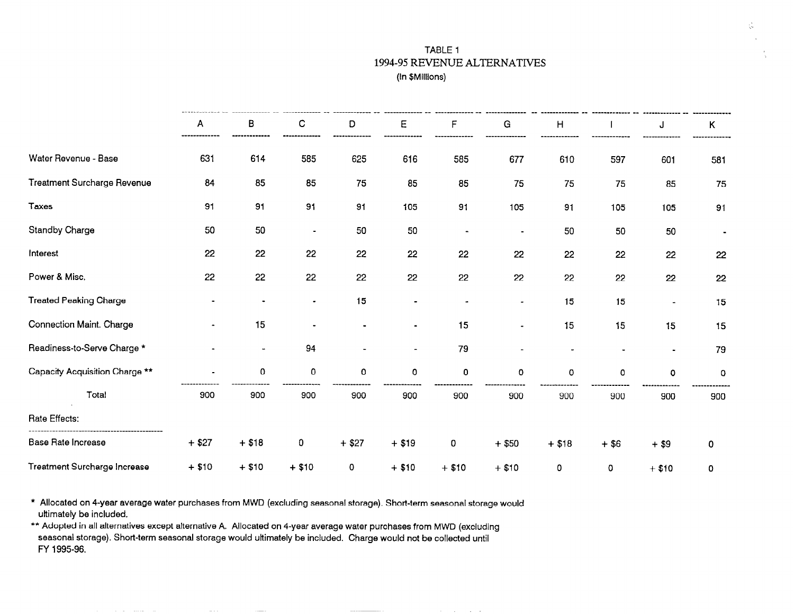## TABLE 1 1994-95 REVENUE ALTERNATIVES (In \$Millions)

and the contract of the

|                                | A              | в                        | C                    | D<br>.  | E                     | F       | G                     | H           |         | J           | ĸ.          |
|--------------------------------|----------------|--------------------------|----------------------|---------|-----------------------|---------|-----------------------|-------------|---------|-------------|-------------|
| Water Revenue - Base           | 631            | 614                      | 585                  | 625     | 616                   | 585     | 677                   | 610         | 597     | 601         | 581         |
| Treatment Surcharge Revenue    | 84             | 85                       | 85                   | 75      | 85                    | 85      | 75                    | 75          | 75      | 85          | 75          |
| <b>Taxes</b>                   | 91             | 91                       | 91                   | 91      | 105                   | 91      | 105                   | 91          | 105     | 105         | 91          |
| <b>Standby Charge</b>          | 50             | 50                       | $\blacksquare$       | 50      | 50                    |         | $\blacksquare$        | 50          | 50      | 50          |             |
| Interest                       | 22             | 22                       | 22                   | 22      | 22                    | 22      | 22                    | 22          | 22      | 22          | 22          |
| Power & Misc.                  | 22             | 22                       | 22                   | 22      | 22                    | 22      | 22                    | 22          | 22      | 22          | 22          |
| <b>Treated Peaking Charge</b>  | -              |                          | $\blacksquare$       | 15      | $\blacksquare$        |         | $\bullet$             | 15          | 15      |             | 15          |
| Connection Maint. Charge       | $\blacksquare$ | 15                       | $\ddot{\phantom{0}}$ | ۰       | $\blacksquare$        | 15      | $\blacksquare$        | 15          | 15      | 15          | 15          |
| Readiness-to-Serve Charge *    |                | $\overline{\phantom{a}}$ | 94                   |         | $\tilde{\phantom{a}}$ | 79      | $\tilde{\phantom{a}}$ |             |         | $\bullet$   | 79          |
| Capacity Acquisition Charge ** |                | 0                        | 0                    | 0       | $\mathbf 0$           | 0       | $\mathbf 0$           | $\mathbf 0$ | 0       | $\mathbf 0$ | 0           |
| Total                          | 900            | 900                      | 900                  | 900     | 900                   | 900     | 900                   | 900         | 900     | 900         | 900         |
| Rate Effects:                  |                |                          |                      |         |                       |         |                       |             |         |             |             |
| Base Rate Increase             | $+ $27$        | $+ $18$                  | $\mathbf 0$          | $+ $27$ | $+$ \$19              | 0       | $+$ \$50              | $+ $18$     | $+$ \$6 | $+$ \$9     | 0           |
| Treatment Surcharge Increase   | $+ $10$        | $+ $10$                  | $+ $10$              | 0       | $+ $10$               | $+ $10$ | $+ $10$               | 0           | 0       | $+ $10$     | $\mathbf 0$ |

\* Allocated on 4-year average water purchases from MWD (excluding seasonal storage). Short-term seasonal storage would ultimately be included.

\*\* Adopted in all alternatives except alternative A. Allocated on 4-year average water purchases from MWD (excluding seasonal storage). Short-term seasonal storage would ultimately be included. Charge would not be collected until FY 1995-96.

 $\alpha$  , and  $\alpha$  , and  $\alpha$  , and  $\alpha$  , and  $\alpha$  , and  $\alpha$  , and  $\alpha$  , and  $\alpha$ 

 $\frac{1}{\sqrt{2}}$